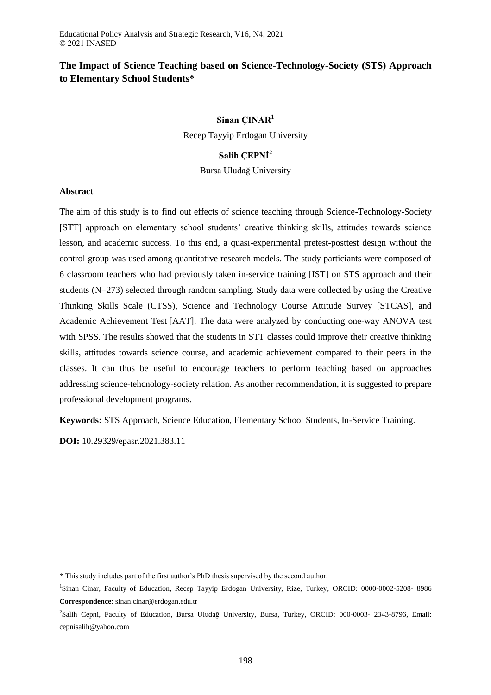# **The Impact of Science Teaching based on Science-Technology-Society (STS) Approach to Elementary School Students\***

## **Sinan ÇINAR<sup>1</sup>**

Recep Tayyip Erdogan University

# **Salih ÇEPNİ<sup>2</sup>**

Bursa Uludağ University

#### **Abstract**

The aim of this study is to find out effects of science teaching through Science-Technology-Society [STT] approach on elementary school students' creative thinking skills, attitudes towards science lesson, and academic success. To this end, a quasi-experimental pretest-posttest design without the control group was used among quantitative research models. The study particiants were composed of 6 classroom teachers who had previously taken in-service training [IST] on STS approach and their students (N=273) selected through random sampling. Study data were collected by using the Creative Thinking Skills Scale (CTSS), Science and Technology Course Attitude Survey [STCAS], and Academic Achievement Test [AAT]. The data were analyzed by conducting one-way ANOVA test with SPSS. The results showed that the students in STT classes could improve their creative thinking skills, attitudes towards science course, and academic achievement compared to their peers in the classes. It can thus be useful to encourage teachers to perform teaching based on approaches addressing science-tehcnology-society relation. As another recommendation, it is suggested to prepare professional development programs.

**Keywords:** STS Approach, Science Education, Elementary School Students, In-Service Training.

**DOI:** 10.29329/epasr.2021.383.11

 $\overline{a}$ 

<sup>\*</sup> This study includes part of the first author's PhD thesis supervised by the second author.

<sup>&</sup>lt;sup>1</sup>Sinan Cinar, Faculty of Education, Recep Tayyip Erdogan University, Rize, Turkey, ORCID: 0000-0002-5208- 8986 **Correspondence**: sinan.cinar@erdogan.edu.tr

<sup>2</sup> Salih Cepni, Faculty of Education, Bursa Uludağ University, Bursa, Turkey, ORCID: 000-0003- 2343-8796, Email: cepnisalih@yahoo.com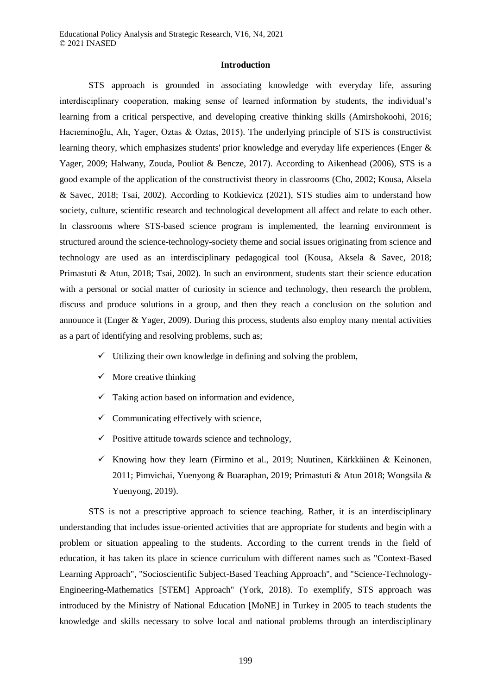#### **Introduction**

STS approach is grounded in associating knowledge with everyday life, assuring interdisciplinary cooperation, making sense of learned information by students, the individual's learning from a critical perspective, and developing creative thinking skills (Amirshokoohi, 2016; Hacıeminoğlu, Alı, Yager, Oztas & Oztas, 2015). The underlying principle of STS is constructivist learning theory, which emphasizes students' prior knowledge and everyday life experiences (Enger & Yager, 2009; Halwany, Zouda, Pouliot & Bencze, 2017). According to Aikenhead (2006), STS is a good example of the application of the constructivist theory in classrooms (Cho, 2002; Kousa, Aksela & Savec, 2018; Tsai, 2002). According to Kotkievicz (2021), STS studies aim to understand how society, culture, scientific research and technological development all affect and relate to each other. In classrooms where STS-based science program is implemented, the learning environment is structured around the science-technology-society theme and social issues originating from science and technology are used as an interdisciplinary pedagogical tool (Kousa, Aksela & Savec, 2018; Primastuti & Atun, 2018; Tsai, 2002). In such an environment, students start their science education with a personal or social matter of curiosity in science and technology, then research the problem, discuss and produce solutions in a group, and then they reach a conclusion on the solution and announce it (Enger & Yager, 2009). During this process, students also employ many mental activities as a part of identifying and resolving problems, such as;

- $\checkmark$  Utilizing their own knowledge in defining and solving the problem,
- $\checkmark$  More creative thinking
- $\checkmark$  Taking action based on information and evidence,
- $\checkmark$  Communicating effectively with science,
- $\checkmark$  Positive attitude towards science and technology,
- Knowing how they learn (Firmino et al., 2019; Nuutinen, Kärkkäinen & Keinonen, 2011; Pimvichai, Yuenyong & Buaraphan, 2019; Primastuti & Atun 2018; Wongsila & Yuenyong, 2019).

STS is not a prescriptive approach to science teaching. Rather, it is an interdisciplinary understanding that includes issue-oriented activities that are appropriate for students and begin with a problem or situation appealing to the students. According to the current trends in the field of education, it has taken its place in science curriculum with different names such as "Context-Based Learning Approach", "Socioscientific Subject-Based Teaching Approach", and "Science-Technology-Engineering-Mathematics [STEM] Approach" (York, 2018). To exemplify, STS approach was introduced by the Ministry of National Education [MoNE] in Turkey in 2005 to teach students the knowledge and skills necessary to solve local and national problems through an interdisciplinary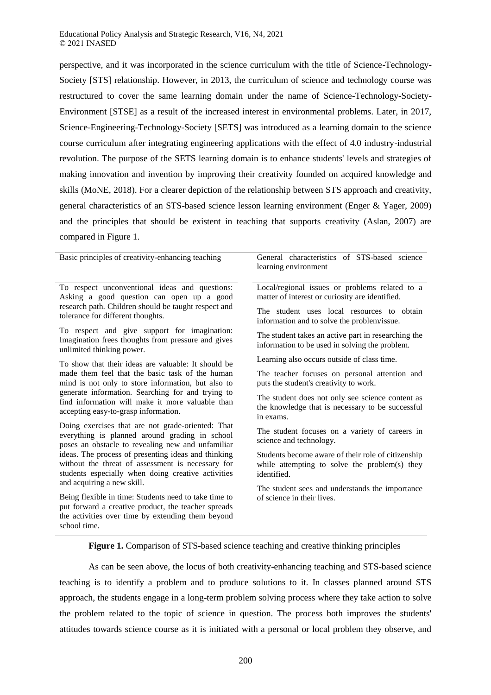perspective, and it was incorporated in the science curriculum with the title of Science-Technology-Society [STS] relationship. However, in 2013, the curriculum of science and technology course was restructured to cover the same learning domain under the name of Science-Technology-Society-Environment [STSE] as a result of the increased interest in environmental problems. Later, in 2017, Science-Engineering-Technology-Society [SETS] was introduced as a learning domain to the science course curriculum after integrating engineering applications with the effect of 4.0 industry-industrial revolution. The purpose of the SETS learning domain is to enhance students' levels and strategies of making innovation and invention by improving their creativity founded on acquired knowledge and skills (MoNE, 2018). For a clearer depiction of the relationship between STS approach and creativity, general characteristics of an STS-based science lesson learning environment (Enger & Yager, 2009) and the principles that should be existent in teaching that supports creativity (Aslan, 2007) are compared in Figure 1.

| Basic principles of creativity-enhancing teaching                                                                                                                                            | General characteristics of STS-based science<br>learning environment                                               |  |  |  |
|----------------------------------------------------------------------------------------------------------------------------------------------------------------------------------------------|--------------------------------------------------------------------------------------------------------------------|--|--|--|
| To respect unconventional ideas and questions:<br>Asking a good question can open up a good                                                                                                  | Local/regional issues or problems related to a<br>matter of interest or curiosity are identified.                  |  |  |  |
| research path. Children should be taught respect and<br>tolerance for different thoughts.                                                                                                    | The student uses local resources to obtain<br>information and to solve the problem/issue.                          |  |  |  |
| To respect and give support for imagination:<br>Imagination frees thoughts from pressure and gives<br>unlimited thinking power.                                                              | The student takes an active part in researching the<br>information to be used in solving the problem.              |  |  |  |
| To show that their ideas are valuable: It should be                                                                                                                                          | Learning also occurs outside of class time.                                                                        |  |  |  |
| made them feel that the basic task of the human<br>mind is not only to store information, but also to                                                                                        | The teacher focuses on personal attention and<br>puts the student's creativity to work.                            |  |  |  |
| generate information. Searching for and trying to<br>find information will make it more valuable than<br>accepting easy-to-grasp information.                                                | The student does not only see science content as<br>the knowledge that is necessary to be successful<br>in exams.  |  |  |  |
| Doing exercises that are not grade-oriented: That<br>everything is planned around grading in school<br>poses an obstacle to revealing new and unfamiliar                                     | The student focuses on a variety of careers in<br>science and technology.                                          |  |  |  |
| ideas. The process of presenting ideas and thinking<br>without the threat of assessment is necessary for<br>students especially when doing creative activities<br>and acquiring a new skill. | Students become aware of their role of citizenship<br>while attempting to solve the problem(s) they<br>identified. |  |  |  |
| Being flexible in time: Students need to take time to<br>put forward a creative product, the teacher spreads<br>the activities over time by extending them beyond                            | The student sees and understands the importance<br>of science in their lives.                                      |  |  |  |

**Figure 1.** Comparison of STS-based science teaching and creative thinking principles

school time.

As can be seen above, the locus of both creativity-enhancing teaching and STS-based science teaching is to identify a problem and to produce solutions to it. In classes planned around STS approach, the students engage in a long-term problem solving process where they take action to solve the problem related to the topic of science in question. The process both improves the students' attitudes towards science course as it is initiated with a personal or local problem they observe, and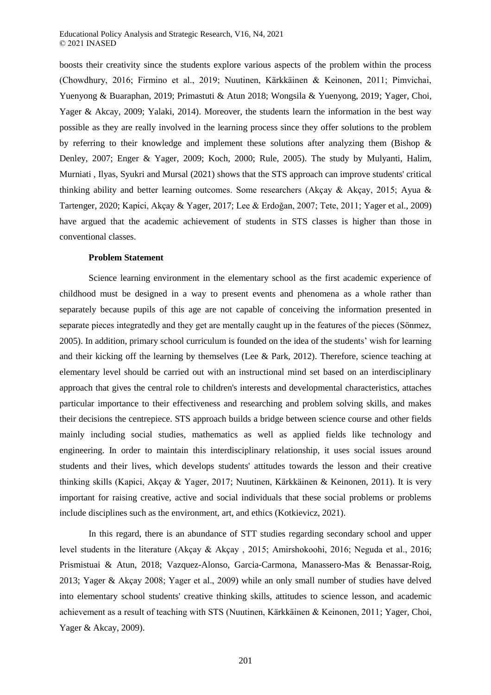boosts their creativity since the students explore various aspects of the problem within the process (Chowdhury, 2016; Firmino et al., 2019; Nuutinen, Kärkkäinen & Keinonen, 2011; Pimvichai, Yuenyong & Buaraphan, 2019; Primastuti & Atun 2018; Wongsila & Yuenyong, 2019; Yager, Choi, Yager & Akcay, 2009; Yalaki, 2014). Moreover, the students learn the information in the best way possible as they are really involved in the learning process since they offer solutions to the problem by referring to their knowledge and implement these solutions after analyzing them (Bishop & Denley, 2007; Enger & Yager, 2009; Koch, 2000; Rule, 2005). The study by Mulyanti, Halim, Murniati , Ilyas, Syukri and Mursal (2021) shows that the STS approach can improve students' critical thinking ability and better learning outcomes. Some researchers (Akçay & Akçay, 2015; Ayua & Tartenger, 2020; Kapici, Akçay & Yager, 2017; Lee & Erdoğan, 2007; Tete, 2011; Yager et al., 2009) have argued that the academic achievement of students in STS classes is higher than those in conventional classes.

#### **Problem Statement**

Science learning environment in the elementary school as the first academic experience of childhood must be designed in a way to present events and phenomena as a whole rather than separately because pupils of this age are not capable of conceiving the information presented in separate pieces integratedly and they get are mentally caught up in the features of the pieces (Sönmez, 2005). In addition, primary school curriculum is founded on the idea of the students' wish for learning and their kicking off the learning by themselves (Lee & Park, 2012). Therefore, science teaching at elementary level should be carried out with an instructional mind set based on an interdisciplinary approach that gives the central role to children's interests and developmental characteristics, attaches particular importance to their effectiveness and researching and problem solving skills, and makes their decisions the centrepiece. STS approach builds a bridge between science course and other fields mainly including social studies, mathematics as well as applied fields like technology and engineering. In order to maintain this interdisciplinary relationship, it uses social issues around students and their lives, which develops students' attitudes towards the lesson and their creative thinking skills (Kapici, Akçay & Yager, 2017; Nuutinen, Kärkkäinen & Keinonen, 2011). It is very important for raising creative, active and social individuals that these social problems or problems include disciplines such as the environment, art, and ethics (Kotkievicz, 2021).

In this regard, there is an abundance of STT studies regarding secondary school and upper level students in the literature (Akçay & Akçay , 2015; Amirshokoohi, 2016; Neguda et al., 2016; Prismistuai & Atun, 2018; Vazquez-Alonso, Garcia-Carmona, Manassero-Mas & Benassar-Roig, 2013; Yager & Akçay 2008; Yager et al., 2009) while an only small number of studies have delved into elementary school students' creative thinking skills, attitudes to science lesson, and academic achievement as a result of teaching with STS (Nuutinen, Kärkkäinen & Keinonen, 2011; Yager, Choi, Yager & Akcay, 2009).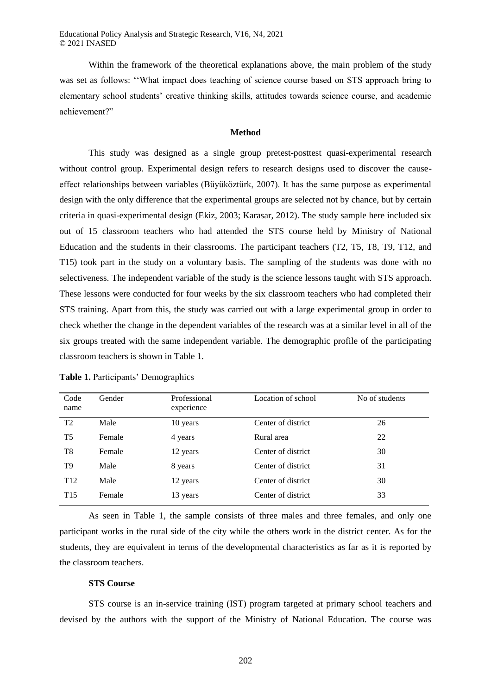Within the framework of the theoretical explanations above, the main problem of the study was set as follows: ''What impact does teaching of science course based on STS approach bring to elementary school students' creative thinking skills, attitudes towards science course, and academic achievement?"

### **Method**

This study was designed as a single group pretest-posttest quasi-experimental research without control group. Experimental design refers to research designs used to discover the causeeffect relationships between variables (Büyüköztürk, 2007). It has the same purpose as experimental design with the only difference that the experimental groups are selected not by chance, but by certain criteria in quasi-experimental design (Ekiz, 2003; Karasar, 2012). The study sample here included six out of 15 classroom teachers who had attended the STS course held by Ministry of National Education and the students in their classrooms. The participant teachers (T2, T5, T8, T9, T12, and T15) took part in the study on a voluntary basis. The sampling of the students was done with no selectiveness. The independent variable of the study is the science lessons taught with STS approach. These lessons were conducted for four weeks by the six classroom teachers who had completed their STS training. Apart from this, the study was carried out with a large experimental group in order to check whether the change in the dependent variables of the research was at a similar level in all of the six groups treated with the same independent variable. The demographic profile of the participating classroom teachers is shown in Table 1.

| Code<br>name    | Gender | Professional<br>experience | Location of school | No of students |
|-----------------|--------|----------------------------|--------------------|----------------|
| T <sub>2</sub>  | Male   | 10 years                   | Center of district | 26             |
| T <sub>5</sub>  | Female | 4 years                    | Rural area         | 22             |
| T8              | Female | 12 years                   | Center of district | 30             |
| T <sub>9</sub>  | Male   | 8 years                    | Center of district | 31             |
| T <sub>12</sub> | Male   | 12 years                   | Center of district | 30             |
| T <sub>15</sub> | Female | 13 years                   | Center of district | 33             |

|  |  | Table 1. Participants' Demographics |
|--|--|-------------------------------------|
|--|--|-------------------------------------|

As seen in Table 1, the sample consists of three males and three females, and only one participant works in the rural side of the city while the others work in the district center. As for the students, they are equivalent in terms of the developmental characteristics as far as it is reported by the classroom teachers.

#### **STS Course**

STS course is an in-service training (IST) program targeted at primary school teachers and devised by the authors with the support of the Ministry of National Education. The course was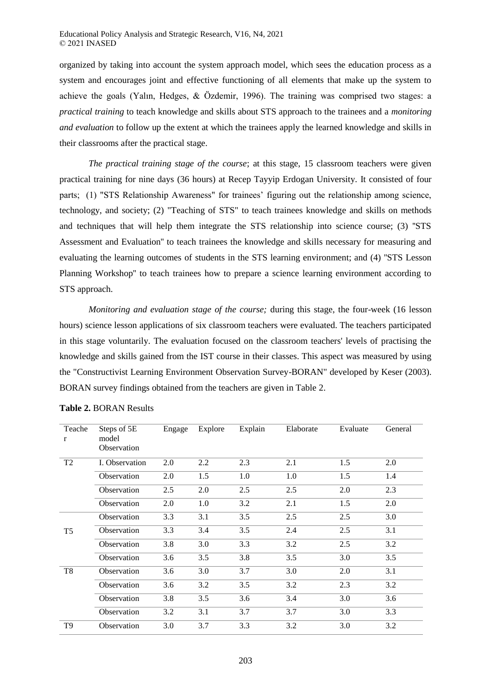organized by taking into account the system approach model, which sees the education process as a system and encourages joint and effective functioning of all elements that make up the system to achieve the goals (Yalın, Hedges, & Özdemir, 1996). The training was comprised two stages: a *practical training* to teach knowledge and skills about STS approach to the trainees and a *monitoring and evaluation* to follow up the extent at which the trainees apply the learned knowledge and skills in their classrooms after the practical stage.

*The practical training stage of the course*; at this stage, 15 classroom teachers were given practical training for nine days (36 hours) at Recep Tayyip Erdogan University. It consisted of four parts; (1) "STS Relationship Awareness" for trainees' figuring out the relationship among science, technology, and society; (2) "Teaching of STS" to teach trainees knowledge and skills on methods and techniques that will help them integrate the STS relationship into science course; (3) ''STS Assessment and Evaluation'' to teach trainees the knowledge and skills necessary for measuring and evaluating the learning outcomes of students in the STS learning environment; and (4) ''STS Lesson Planning Workshop'' to teach trainees how to prepare a science learning environment according to STS approach.

*Monitoring and evaluation stage of the course;* during this stage, the four-week (16 lesson hours) science lesson applications of six classroom teachers were evaluated. The teachers participated in this stage voluntarily. The evaluation focused on the classroom teachers' levels of practising the knowledge and skills gained from the IST course in their classes. This aspect was measured by using the "Constructivist Learning Environment Observation Survey-BORAN" developed by Keser (2003). BORAN survey findings obtained from the teachers are given in Table 2.

| Teache<br>r    | Steps of 5E<br>model<br>Observation | Engage | Explore | Explain | Elaborate | Evaluate | General |
|----------------|-------------------------------------|--------|---------|---------|-----------|----------|---------|
| T <sub>2</sub> | I. Observation                      | 2.0    | 2.2     | 2.3     | 2.1       | 1.5      | 2.0     |
|                | Observation                         | 2.0    | 1.5     | 1.0     | 1.0       | 1.5      | 1.4     |
|                | Observation                         | 2.5    | 2.0     | 2.5     | 2.5       | 2.0      | 2.3     |
|                | Observation                         | 2.0    | 1.0     | 3.2     | 2.1       | 1.5      | 2.0     |
|                | Observation                         | 3.3    | 3.1     | 3.5     | 2.5       | 2.5      | 3.0     |
| T <sub>5</sub> | Observation                         | 3.3    | 3.4     | 3.5     | 2.4       | 2.5      | 3.1     |
|                | Observation                         | 3.8    | 3.0     | 3.3     | 3.2       | 2.5      | 3.2     |
|                | Observation                         | 3.6    | 3.5     | 3.8     | 3.5       | 3.0      | 3.5     |
| T <sub>8</sub> | Observation                         | 3.6    | 3.0     | 3.7     | 3.0       | 2.0      | 3.1     |
|                | Observation                         | 3.6    | 3.2     | 3.5     | 3.2       | 2.3      | 3.2     |
|                | Observation                         | 3.8    | 3.5     | 3.6     | 3.4       | 3.0      | 3.6     |
|                | Observation                         | 3.2    | 3.1     | 3.7     | 3.7       | 3.0      | 3.3     |
| T <sub>9</sub> | Observation                         | 3.0    | 3.7     | 3.3     | 3.2       | 3.0      | 3.2     |

### **Table 2.** BORAN Results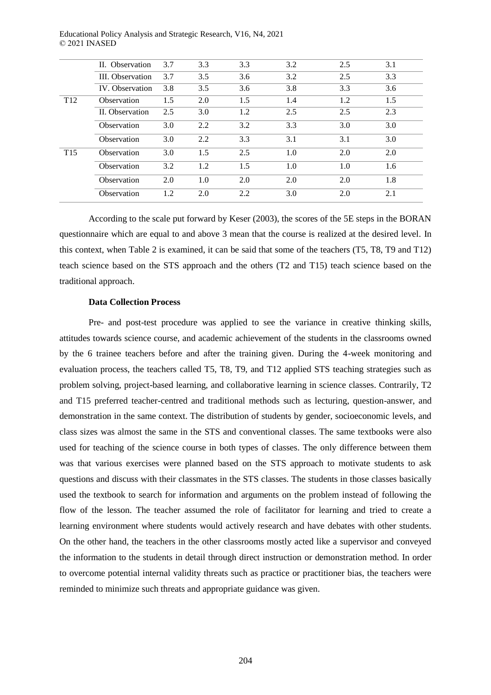|                 | II. Observation    | 3.7 | 3.3 | 3.3 | 3.2 | 2.5 | 3.1 |
|-----------------|--------------------|-----|-----|-----|-----|-----|-----|
|                 | III. Observation   | 3.7 | 3.5 | 3.6 | 3.2 | 2.5 | 3.3 |
|                 | IV. Observation    | 3.8 | 3.5 | 3.6 | 3.8 | 3.3 | 3.6 |
| T <sub>12</sub> | <b>Observation</b> | 1.5 | 2.0 | 1.5 | 1.4 | 1.2 | 1.5 |
|                 | II. Observation    | 2.5 | 3.0 | 1.2 | 2.5 | 2.5 | 2.3 |
|                 | Observation        | 3.0 | 2.2 | 3.2 | 3.3 | 3.0 | 3.0 |
|                 | Observation        | 3.0 | 2.2 | 3.3 | 3.1 | 3.1 | 3.0 |
| T <sub>15</sub> | Observation        | 3.0 | 1.5 | 2.5 | 1.0 | 2.0 | 2.0 |
|                 | Observation        | 3.2 | 1.2 | 1.5 | 1.0 | 1.0 | 1.6 |
|                 | Observation        | 2.0 | 1.0 | 2.0 | 2.0 | 2.0 | 1.8 |
|                 | Observation        | 1.2 | 2.0 | 2.2 | 3.0 | 2.0 | 2.1 |

According to the scale put forward by Keser (2003), the scores of the 5E steps in the BORAN questionnaire which are equal to and above 3 mean that the course is realized at the desired level. In this context, when Table 2 is examined, it can be said that some of the teachers (T5, T8, T9 and T12) teach science based on the STS approach and the others (T2 and T15) teach science based on the traditional approach.

### **Data Collection Process**

Pre- and post-test procedure was applied to see the variance in creative thinking skills, attitudes towards science course, and academic achievement of the students in the classrooms owned by the 6 trainee teachers before and after the training given. During the 4-week monitoring and evaluation process, the teachers called T5, T8, T9, and T12 applied STS teaching strategies such as problem solving, project-based learning, and collaborative learning in science classes. Contrarily, T2 and T15 preferred teacher-centred and traditional methods such as lecturing, question-answer, and demonstration in the same context. The distribution of students by gender, socioeconomic levels, and class sizes was almost the same in the STS and conventional classes. The same textbooks were also used for teaching of the science course in both types of classes. The only difference between them was that various exercises were planned based on the STS approach to motivate students to ask questions and discuss with their classmates in the STS classes. The students in those classes basically used the textbook to search for information and arguments on the problem instead of following the flow of the lesson. The teacher assumed the role of facilitator for learning and tried to create a learning environment where students would actively research and have debates with other students. On the other hand, the teachers in the other classrooms mostly acted like a supervisor and conveyed the information to the students in detail through direct instruction or demonstration method. In order to overcome potential internal validity threats such as practice or practitioner bias, the teachers were reminded to minimize such threats and appropriate guidance was given.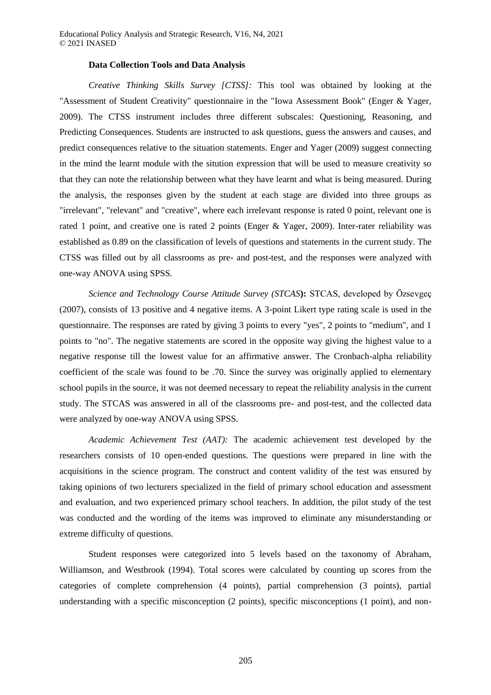#### **Data Collection Tools and Data Analysis**

*Creative Thinking Skills Survey [CTSS]:* This tool was obtained by looking at the "Assessment of Student Creativity" questionnaire in the "Iowa Assessment Book" (Enger & Yager, 2009). The CTSS instrument includes three different subscales: Questioning, Reasoning, and Predicting Consequences. Students are instructed to ask questions, guess the answers and causes, and predict consequences relative to the situation statements. Enger and Yager (2009) suggest connecting in the mind the learnt module with the sitution expression that will be used to measure creativity so that they can note the relationship between what they have learnt and what is being measured. During the analysis, the responses given by the student at each stage are divided into three groups as "irrelevant", "relevant" and "creative", where each irrelevant response is rated 0 point, relevant one is rated 1 point, and creative one is rated 2 points (Enger & Yager, 2009). Inter-rater reliability was established as 0.89 on the classification of levels of questions and statements in the current study. The CTSS was filled out by all classrooms as pre- and post-test, and the responses were analyzed with one-way ANOVA using SPSS.

*Science and Technology Course Attitude Survey (STCAS***):** STCAS, developed by Özsevgeç (2007), consists of 13 positive and 4 negative items. A 3-point Likert type rating scale is used in the questionnaire. The responses are rated by giving 3 points to every "yes", 2 points to "medium", and 1 points to "no". The negative statements are scored in the opposite way giving the highest value to a negative response till the lowest value for an affirmative answer. The Cronbach-alpha reliability coefficient of the scale was found to be .70. Since the survey was originally applied to elementary school pupils in the source, it was not deemed necessary to repeat the reliability analysis in the current study. The STCAS was answered in all of the classrooms pre- and post-test, and the collected data were analyzed by one-way ANOVA using SPSS.

*Academic Achievement Test (AAT):* The academic achievement test developed by the researchers consists of 10 open-ended questions. The questions were prepared in line with the acquisitions in the science program. The construct and content validity of the test was ensured by taking opinions of two lecturers specialized in the field of primary school education and assessment and evaluation, and two experienced primary school teachers. In addition, the pilot study of the test was conducted and the wording of the items was improved to eliminate any misunderstanding or extreme difficulty of questions.

Student responses were categorized into 5 levels based on the taxonomy of Abraham, Williamson, and Westbrook (1994). Total scores were calculated by counting up scores from the categories of complete comprehension (4 points), partial comprehension (3 points), partial understanding with a specific misconception (2 points), specific misconceptions (1 point), and non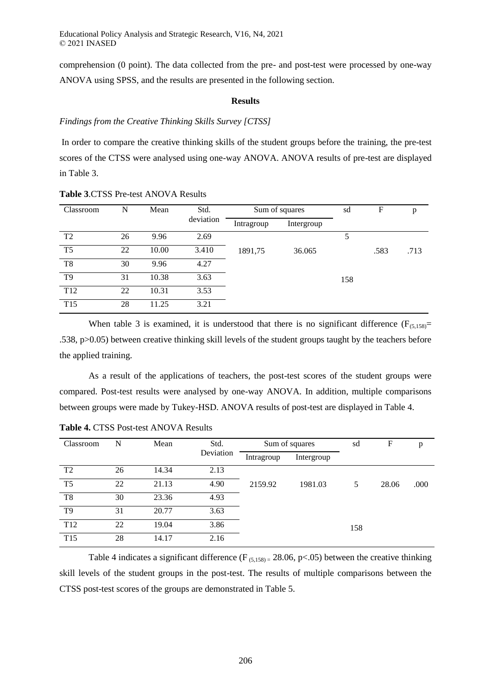comprehension (0 point). The data collected from the pre- and post-test were processed by one-way ANOVA using SPSS, and the results are presented in the following section.

#### **Results**

### *Findings from the Creative Thinking Skills Survey [CTSS]*

In order to compare the creative thinking skills of the student groups before the training, the pre-test scores of the CTSS were analysed using one-way ANOVA. ANOVA results of pre-test are displayed in Table 3.

| Classroom       | N  | Mean  | Std.      | Sum of squares |            | sd  | F    | p    |
|-----------------|----|-------|-----------|----------------|------------|-----|------|------|
|                 |    |       | deviation | Intragroup     | Intergroup |     |      |      |
| T <sub>2</sub>  | 26 | 9.96  | 2.69      |                |            | 5   |      |      |
| T <sub>5</sub>  | 22 | 10.00 | 3.410     | 1891,75        | 36.065     |     | .583 | .713 |
| T <sub>8</sub>  | 30 | 9.96  | 4.27      |                |            |     |      |      |
| T <sub>9</sub>  | 31 | 10.38 | 3.63      |                |            | 158 |      |      |
| T <sub>12</sub> | 22 | 10.31 | 3.53      |                |            |     |      |      |
| T <sub>15</sub> | 28 | 11.25 | 3.21      |                |            |     |      |      |

**Table 3**.CTSS Pre-test ANOVA Results

When table 3 is examined, it is understood that there is no significant difference ( $F_{(5,158)}$ = .538, p>0.05) between creative thinking skill levels of the student groups taught by the teachers before the applied training.

As a result of the applications of teachers, the post-test scores of the student groups were compared. Post-test results were analysed by one-way ANOVA. In addition, multiple comparisons between groups were made by Tukey-HSD. ANOVA results of post-test are displayed in Table 4.

| Classroom       | N  | Mean  | Std.      | Sum of squares |            | sd  | F     | p    |
|-----------------|----|-------|-----------|----------------|------------|-----|-------|------|
|                 |    |       | Deviation | Intragroup     | Intergroup |     |       |      |
| T <sub>2</sub>  | 26 | 14.34 | 2.13      |                |            |     |       |      |
| T <sub>5</sub>  | 22 | 21.13 | 4.90      | 2159.92        | 1981.03    | 5   | 28.06 | .000 |
| T <sub>8</sub>  | 30 | 23.36 | 4.93      |                |            |     |       |      |
| T <sub>9</sub>  | 31 | 20.77 | 3.63      |                |            |     |       |      |
| T <sub>12</sub> | 22 | 19.04 | 3.86      |                |            | 158 |       |      |
| T <sub>15</sub> | 28 | 14.17 | 2.16      |                |            |     |       |      |

**Table 4.** CTSS Post-test ANOVA Results

Table 4 indicates a significant difference ( $F_{(5,158)} = 28.06$ , p<.05) between the creative thinking skill levels of the student groups in the post-test. The results of multiple comparisons between the CTSS post-test scores of the groups are demonstrated in Table 5.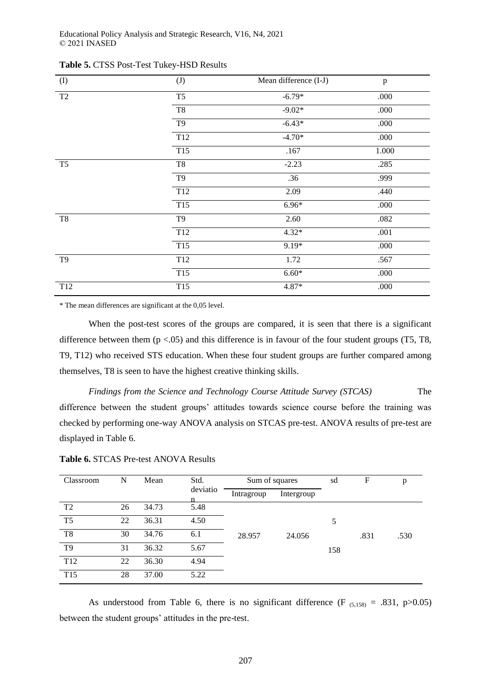| $($ $\Gamma$        | (J)              | Mean difference (I-J) | $\, {\bf p}$ |
|---------------------|------------------|-----------------------|--------------|
| $\operatorname{T2}$ | T <sub>5</sub>   | $-6.79*$              | .000         |
|                     | T8               | $-9.02*$              | .000         |
|                     | T9               | $-6.43*$              | .000         |
|                     | $\overline{T12}$ | $-4.70*$              | .000         |
|                     | T15              | .167                  | 1.000        |
| T <sub>5</sub>      | T <sub>8</sub>   | $-2.23$               | .285         |
|                     | T <sub>9</sub>   | .36                   | .999         |
|                     | $\overline{T12}$ | 2.09                  | .440         |
|                     | T <sub>15</sub>  | $6.96*$               | .000         |
| T <sub>8</sub>      | T <sub>9</sub>   | 2.60                  | .082         |
|                     | T <sub>12</sub>  | $4.32*$               | .001         |
|                     | T15              | 9.19*                 | .000         |
| T <sub>9</sub>      | T <sub>12</sub>  | 1.72                  | .567         |
|                     | T15              | $6.60*$               | .000         |
| T <sub>12</sub>     | T <sub>15</sub>  | $4.87*$               | .000         |

**Table 5.** CTSS Post-Test Tukey-HSD Results

\* The mean differences are significant at the 0,05 level.

When the post-test scores of the groups are compared, it is seen that there is a significant difference between them  $(p < .05)$  and this difference is in favour of the four student groups (T5, T8, T9, T12) who received STS education. When these four student groups are further compared among themselves, T8 is seen to have the highest creative thinking skills.

*Findings from the Science and Technology Course Attitude Survey (STCAS)* The difference between the student groups' attitudes towards science course before the training was checked by performing one-way ANOVA analysis on STCAS pre-test. ANOVA results of pre-test are displayed in Table 6.

**Table 6.** STCAS Pre-test ANOVA Results

| Classroom       | N  | Mean  | Std.     | Sum of squares |            | sd  | F    | p    |
|-----------------|----|-------|----------|----------------|------------|-----|------|------|
|                 |    |       | deviatio | Intragroup     | Intergroup |     |      |      |
| T <sub>2</sub>  | 26 | 34.73 | 5.48     |                |            |     |      |      |
| T <sub>5</sub>  | 22 | 36.31 | 4.50     |                |            | 5   |      |      |
| T8              | 30 | 34.76 | 6.1      | 28.957         | 24.056     |     | .831 | .530 |
| T <sub>9</sub>  | 31 | 36.32 | 5.67     |                |            | 158 |      |      |
| T <sub>12</sub> | 22 | 36.30 | 4.94     |                |            |     |      |      |
| T <sub>15</sub> | 28 | 37.00 | 5.22     |                |            |     |      |      |

As understood from Table 6, there is no significant difference (F  $_{(5,158)} = .831$ , p>0.05) between the student groups' attitudes in the pre-test.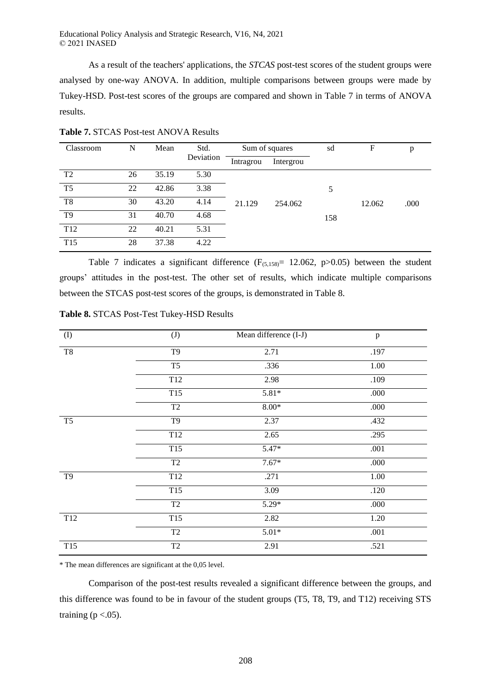As a result of the teachers' applications, the *STCAS* post-test scores of the student groups were analysed by one-way ANOVA. In addition, multiple comparisons between groups were made by Tukey-HSD. Post-test scores of the groups are compared and shown in Table 7 in terms of ANOVA results.

| Classroom       | N  | Mean  | Std.      |           | Sum of squares |     | F      | p    |
|-----------------|----|-------|-----------|-----------|----------------|-----|--------|------|
|                 |    |       | Deviation | Intragrou | Intergrou      |     |        |      |
| T <sub>2</sub>  | 26 | 35.19 | 5.30      |           |                |     |        |      |
| T <sub>5</sub>  | 22 | 42.86 | 3.38      |           |                | 5   |        |      |
| T <sub>8</sub>  | 30 | 43.20 | 4.14      | 21.129    | 254.062        |     | 12.062 | .000 |
| T <sub>9</sub>  | 31 | 40.70 | 4.68      |           |                | 158 |        |      |
| T <sub>12</sub> | 22 | 40.21 | 5.31      |           |                |     |        |      |
| T <sub>15</sub> | 28 | 37.38 | 4.22      |           |                |     |        |      |

**Table 7.** STCAS Post-test ANOVA Results

Table 7 indicates a significant difference  $(F_{(5,158)}= 12.062, p>0.05)$  between the student groups' attitudes in the post-test. The other set of results, which indicate multiple comparisons between the STCAS post-test scores of the groups, is demonstrated in Table 8.

| $\left( \mathrm{I}\right)$ | (J)             | Mean difference (I-J) | $\, {\bf p}$ |
|----------------------------|-----------------|-----------------------|--------------|
| T <sub>8</sub>             | T <sub>9</sub>  | 2.71                  | .197         |
|                            | T <sub>5</sub>  | .336                  | 1.00         |
|                            | T12             | 2.98                  | .109         |
|                            | T <sub>15</sub> | $5.81*$               | .000         |
|                            | T2              | $8.00*$               | .000         |
| T <sub>5</sub>             | T <sub>9</sub>  | 2.37                  | .432         |
|                            | T <sub>12</sub> | 2.65                  | .295         |
|                            | T <sub>15</sub> | $5.47*$               | .001         |
|                            | T <sub>2</sub>  | $7.67*$               | .000         |
| T <sub>9</sub>             | T12             | .271                  | 1.00         |
|                            | T <sub>15</sub> | 3.09                  | .120         |
|                            | T <sub>2</sub>  | $5.29*$               | .000         |
| T <sub>12</sub>            | T <sub>15</sub> | 2.82                  | 1.20         |
|                            | T2              | $5.01*$               | .001         |
| T <sub>15</sub>            | $\overline{T2}$ | 2.91                  | .521         |

**Table 8.** STCAS Post-Test Tukey-HSD Results

\* The mean differences are significant at the 0,05 level.

Comparison of the post-test results revealed a significant difference between the groups, and this difference was found to be in favour of the student groups (T5, T8, T9, and T12) receiving STS training ( $p < .05$ ).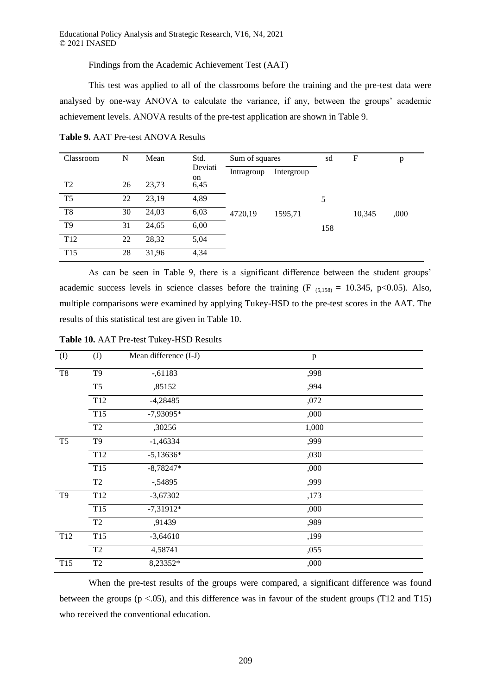Findings from the Academic Achievement Test (AAT)

This test was applied to all of the classrooms before the training and the pre-test data were analysed by one-way ANOVA to calculate the variance, if any, between the groups' academic achievement levels. ANOVA results of the pre-test application are shown in Table 9.

| Classroom       | N  | Mean  | Std.           | Sum of squares |            | sd  | F      | p    |
|-----------------|----|-------|----------------|----------------|------------|-----|--------|------|
|                 |    |       | Deviati<br>on. | Intragroup     | Intergroup |     |        |      |
| T <sub>2</sub>  | 26 | 23,73 | 6,45           |                |            |     |        |      |
| T <sub>5</sub>  | 22 | 23,19 | 4,89           |                |            | 5   |        |      |
| T <sub>8</sub>  | 30 | 24,03 | 6,03           | 4720,19        | 1595,71    |     | 10,345 | ,000 |
| T <sub>9</sub>  | 31 | 24,65 | 6,00           |                |            | 158 |        |      |
| T <sub>12</sub> | 22 | 28,32 | 5,04           |                |            |     |        |      |
| T <sub>15</sub> | 28 | 31,96 | 4,34           |                |            |     |        |      |

**Table 9.** AAT Pre-test ANOVA Results

As can be seen in Table 9, there is a significant difference between the student groups' academic success levels in science classes before the training (F  $(5,158) = 10.345$ , p<0.05). Also, multiple comparisons were examined by applying Tukey-HSD to the pre-test scores in the AAT. The results of this statistical test are given in Table 10.

| (I)             | (J)             | Mean difference (I-J) | $\mathbf{p}$ |  |
|-----------------|-----------------|-----------------------|--------------|--|
| T8              | T <sub>9</sub>  | $-0.61183$            | ,998         |  |
|                 | T <sub>5</sub>  | ,85152                | ,994         |  |
|                 | T <sub>12</sub> | $-4,28485$            | ,072         |  |
|                 | T <sub>15</sub> | $-7,93095*$           | ,000         |  |
|                 | T <sub>2</sub>  | ,30256                | 1,000        |  |
| T <sub>5</sub>  | T <sub>9</sub>  | $-1,46334$            | ,999         |  |
|                 | T12             | $-5,13636*$           | ,030         |  |
|                 | T <sub>15</sub> | $-8,78247*$           | ,000         |  |
|                 | T <sub>2</sub>  | $-0.54895$            | ,999         |  |
| T9              | T12             | $-3,67302$            | ,173         |  |
|                 | T <sub>15</sub> | $-7,31912*$           | ,000         |  |
|                 | T <sub>2</sub>  | ,91439                | ,989         |  |
| T <sub>12</sub> | T <sub>15</sub> | $-3,64610$            | ,199         |  |
|                 | T <sub>2</sub>  | 4,58741               | ,055         |  |
| T <sub>15</sub> | T <sub>2</sub>  | 8,23352*              | ,000         |  |

**Table 10.** AAT Pre-test Tukey-HSD Results

When the pre-test results of the groups were compared, a significant difference was found between the groups  $(p < .05)$ , and this difference was in favour of the student groups (T12 and T15) who received the conventional education.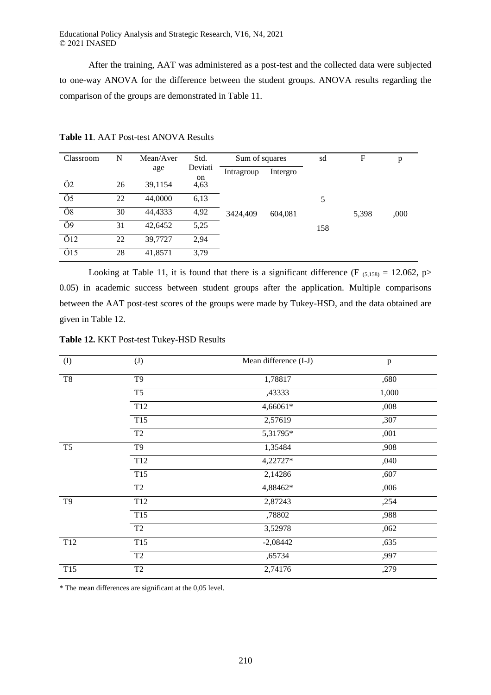After the training, AAT was administered as a post-test and the collected data were subjected to one-way ANOVA for the difference between the student groups. ANOVA results regarding the comparison of the groups are demonstrated in Table 11.

| Classroom           | N  | Mean/Aver | Std.<br>Sum of squares   |            |          | sd  | F     | p    |
|---------------------|----|-----------|--------------------------|------------|----------|-----|-------|------|
|                     |    | age       | Deviati<br><sub>on</sub> | Intragroup | Intergro |     |       |      |
| $\overline{O2}$     | 26 | 39,1154   | 4,63                     |            |          |     |       |      |
| Ö5                  | 22 | 44,0000   | 6,13                     |            |          | 5   |       |      |
| $\overline{08}$     | 30 | 44,4333   | 4,92                     | 3424,409   | 604,081  |     | 5,398 | ,000 |
| Ö9                  | 31 | 42,6452   | 5,25                     |            |          | 158 |       |      |
| $\ddot{\text{O}}12$ | 22 | 39,7727   | 2,94                     |            |          |     |       |      |
| $\ddot{\text{O}}15$ | 28 | 41,8571   | 3,79                     |            |          |     |       |      |

**Table 11**. AAT Post-test ANOVA Results

Looking at Table 11, it is found that there is a significant difference (F  $_{(5,158)} = 12.062$ , p> 0.05) in academic success between student groups after the application. Multiple comparisons between the AAT post-test scores of the groups were made by Tukey-HSD, and the data obtained are given in Table 12.

|  |  |  |  | Table 12. KKT Post-test Tukey-HSD Results |
|--|--|--|--|-------------------------------------------|
|--|--|--|--|-------------------------------------------|

| (I)            | (J)                 | Mean difference (I-J) | $\, {\bf p}$ |
|----------------|---------------------|-----------------------|--------------|
| $\rm{T}8$      | T <sub>9</sub>      | 1,78817               | ,680         |
|                | T <sub>5</sub>      | ,43333                | 1,000        |
|                | T <sub>12</sub>     | 4,66061*              | ,008         |
|                | T <sub>15</sub>     | 2,57619               | ,307         |
|                | T <sub>2</sub>      | 5,31795*              | ,001         |
| T <sub>5</sub> | T <sub>9</sub>      | 1,35484               | ,908         |
|                | T <sub>12</sub>     | 4,22727*              | ,040         |
|                | T <sub>15</sub>     | 2,14286               | ,607         |
|                | $\operatorname{T2}$ | 4,88462*              | ,006         |
| T <sub>9</sub> | T <sub>12</sub>     | 2,87243               | ,254         |
|                | T15                 | ,78802                | ,988         |
|                | T <sub>2</sub>      | 3,52978               | ,062         |
| T12            | T <sub>15</sub>     | $-2,08442$            | ,635         |
|                | T <sub>2</sub>      | ,65734                | ,997         |
| T15            | T <sub>2</sub>      | 2,74176               | ,279         |
|                |                     |                       |              |

\* The mean differences are significant at the 0,05 level.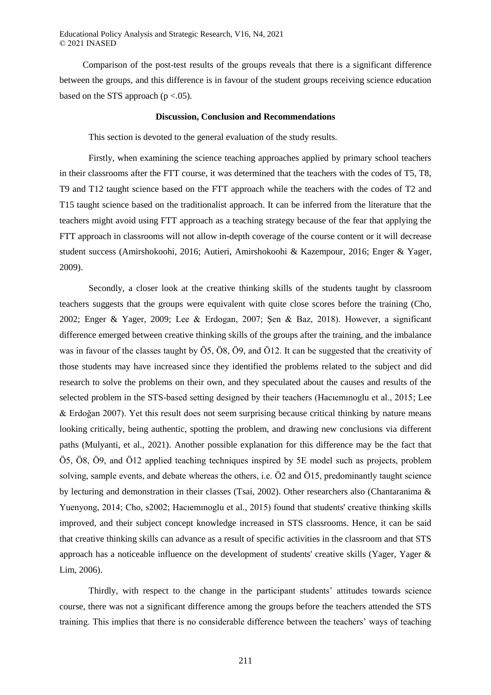Comparison of the post-test results of the groups reveals that there is a significant difference between the groups, and this difference is in favour of the student groups receiving science education based on the STS approach ( $p < .05$ ).

#### **Discussion, Conclusion and Recommendations**

This section is devoted to the general evaluation of the study results.

Firstly, when examining the science teaching approaches applied by primary school teachers in their classrooms after the FTT course, it was determined that the teachers with the codes of T5, T8, T9 and T12 taught science based on the FTT approach while the teachers with the codes of T2 and T15 taught science based on the traditionalist approach. It can be inferred from the literature that the teachers might avoid using FTT approach as a teaching strategy because of the fear that applying the FTT approach in classrooms will not allow in-depth coverage of the course content or it will decrease student success (Amirshokoohi, 2016; Autieri, Amirshokoohi & Kazempour, 2016; Enger & Yager, 2009).

Secondly, a closer look at the creative thinking skills of the students taught by classroom teachers suggests that the groups were equivalent with quite close scores before the training (Cho, 2002; Enger & Yager, 2009; Lee & Erdogan, 2007; Şen & Baz, 2018). However, a significant difference emerged between creative thinking skills of the groups after the training, and the imbalance was in favour of the classes taught by Ö5, Ö8, Ö9, and Ö12. It can be suggested that the creativity of those students may have increased since they identified the problems related to the subject and did research to solve the problems on their own, and they speculated about the causes and results of the selected problem in the STS-based setting designed by their teachers (Hacıemınoglu et al., 2015; Lee & Erdoğan 2007). Yet this result does not seem surprising because critical thinking by nature means looking critically, being authentic, spotting the problem, and drawing new conclusions via different paths (Mulyanti, et al., 2021). Another possible explanation for this difference may be the fact that Ö5, Ö8, Ö9, and Ö12 applied teaching techniques inspired by 5E model such as projects, problem solving, sample events, and debate whereas the others, i.e. Ö2 and Ö15, predominantly taught science by lecturing and demonstration in their classes (Tsai, 2002). Other researchers also (Chantaranima & Yuenyong, 2014; Cho, s2002; Hacıemınoglu et al., 2015) found that students' creative thinking skills improved, and their subject concept knowledge increased in STS classrooms. Hence, it can be said that creative thinking skills can advance as a result of specific activities in the classroom and that STS approach has a noticeable influence on the development of students' creative skills (Yager, Yager & Lim, 2006).

Thirdly, with respect to the change in the participant students' attitudes towards science course, there was not a significant difference among the groups before the teachers attended the STS training. This implies that there is no considerable difference between the teachers' ways of teaching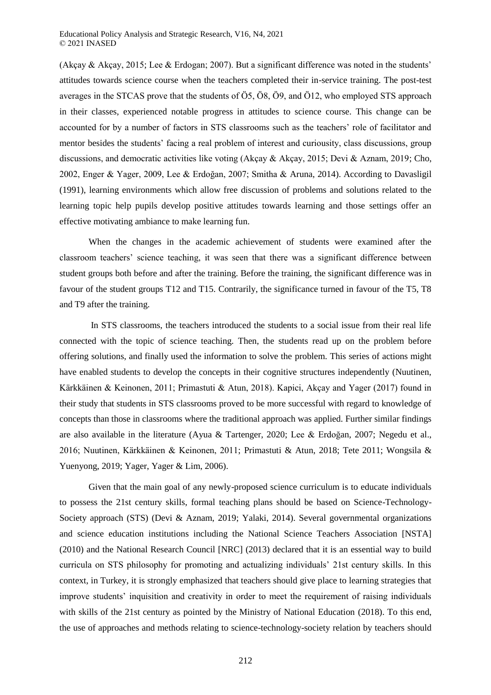(Akçay & Akçay, 2015; Lee & Erdogan; 2007). But a significant difference was noted in the students' attitudes towards science course when the teachers completed their in-service training. The post-test averages in the STCAS prove that the students of Ö5, Ö8, Ö9, and Ö12, who employed STS approach in their classes, experienced notable progress in attitudes to science course. This change can be accounted for by a number of factors in STS classrooms such as the teachers' role of facilitator and mentor besides the students' facing a real problem of interest and curiousity, class discussions, group discussions, and democratic activities like voting (Akçay & Akçay, 2015; Devi & Aznam, 2019; Cho, 2002, Enger & Yager, 2009, Lee & Erdoğan, 2007; Smitha & Aruna, 2014). According to Davasligil (1991), learning environments which allow free discussion of problems and solutions related to the learning topic help pupils develop positive attitudes towards learning and those settings offer an effective motivating ambiance to make learning fun.

When the changes in the academic achievement of students were examined after the classroom teachers' science teaching, it was seen that there was a significant difference between student groups both before and after the training. Before the training, the significant difference was in favour of the student groups T12 and T15. Contrarily, the significance turned in favour of the T5, T8 and T9 after the training.

In STS classrooms, the teachers introduced the students to a social issue from their real life connected with the topic of science teaching. Then, the students read up on the problem before offering solutions, and finally used the information to solve the problem. This series of actions might have enabled students to develop the concepts in their cognitive structures independently (Nuutinen, Kärkkäinen & Keinonen, 2011; Primastuti & Atun, 2018). Kapici, Akçay and Yager (2017) found in their study that students in STS classrooms proved to be more successful with regard to knowledge of concepts than those in classrooms where the traditional approach was applied. Further similar findings are also available in the literature (Ayua & Tartenger, 2020; Lee & Erdoğan, 2007; Negedu et al., 2016; Nuutinen, Kärkkäinen & Keinonen, 2011; Primastuti & Atun, 2018; Tete 2011; Wongsila & Yuenyong, 2019; Yager, Yager & Lim, 2006).

Given that the main goal of any newly-proposed science curriculum is to educate individuals to possess the 21st century skills, formal teaching plans should be based on Science-Technology-Society approach (STS) (Devi & Aznam, 2019; Yalaki, 2014). Several governmental organizations and science education institutions including the National Science Teachers Association [NSTA] (2010) and the National Research Council [NRC] (2013) declared that it is an essential way to build curricula on STS philosophy for promoting and actualizing individuals' 21st century skills. In this context, in Turkey, it is strongly emphasized that teachers should give place to learning strategies that improve students' inquisition and creativity in order to meet the requirement of raising individuals with skills of the 21st century as pointed by the Ministry of National Education (2018). To this end, the use of approaches and methods relating to science-technology-society relation by teachers should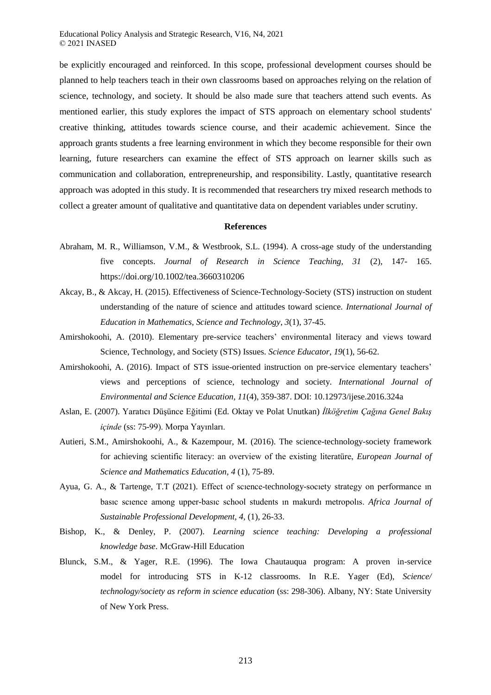be explicitly encouraged and reinforced. In this scope, professional development courses should be planned to help teachers teach in their own classrooms based on approaches relying on the relation of science, technology, and society. It should be also made sure that teachers attend such events. As mentioned earlier, this study explores the impact of STS approach on elementary school students' creative thinking, attitudes towards science course, and their academic achievement. Since the approach grants students a free learning environment in which they become responsible for their own learning, future researchers can examine the effect of STS approach on learner skills such as communication and collaboration, entrepreneurship, and responsibility. Lastly, quantitative research approach was adopted in this study. It is recommended that researchers try mixed research methods to collect a greater amount of qualitative and quantitative data on dependent variables under scrutiny.

#### **References**

- Abraham, M. R., Williamson, V.M., & Westbrook, S.L. (1994). A cross-age study of the understanding five concepts. *Journal of Research in Science Teaching, 31* (2), 147- 165. https://doi.org/10.1002/tea.3660310206
- Akcay, B., & Akcay, H. (2015). Effectiveness of Science-Technology-Society (STS) instruction on student understanding of the nature of science and attitudes toward science*. International Journal of Education in Mathematics, Science and Technology*, *3*(1), 37-45.
- Amirshokoohi, A. (2010). Elementary pre-service teachers' environmental literacy and views toward Science, Technology, and Society (STS) Issues. *Science Educator, 19*(1), 56-62.
- Amirshokoohi, A. (2016). Impact of STS issue-oriented instruction on pre-service elementary teachers' views and perceptions of science, technology and society. *International Journal of Environmental and Science Education, 11*(4), 359-387. DOI: 10.12973/ijese.2016.324a
- Aslan, E. (2007). Yaratıcı Düşünce Eğitimi (Ed. Oktay ve Polat Unutkan) *İlköğretim Çağına Genel Bakış içinde* (ss: 75-99). Morpa Yayınları.
- Autieri, S.M., Amirshokoohi, A., & Kazempour, M. (2016). The science-technology-society framework for achieving scientific literacy: an overview of the existing literatüre, *European Journal of Science and Mathematics Education, 4* (1), 75‐89.
- Ayua, G. A., & Tartenge, T.T (2021). Effect of scıence-technology-socıety strategy on performance ın basıc scıence among upper-basıc school students ın makurdı metropolıs. *Africa Journal of Sustainable Professional Development, 4,* (1), 26-33.
- Bishop, K., & Denley, P. (2007). *Learning science teaching: Developing a professional knowledge base*. McGraw-Hill Education
- Blunck, S.M., & Yager, R.E. (1996). The Iowa Chautauqua program: A proven in-service model for introducing STS in K-12 classrooms. In R.E. Yager (Ed), *Science/ technology/society as reform in science education* (ss: 298-306). Albany, NY: State University of New York Press.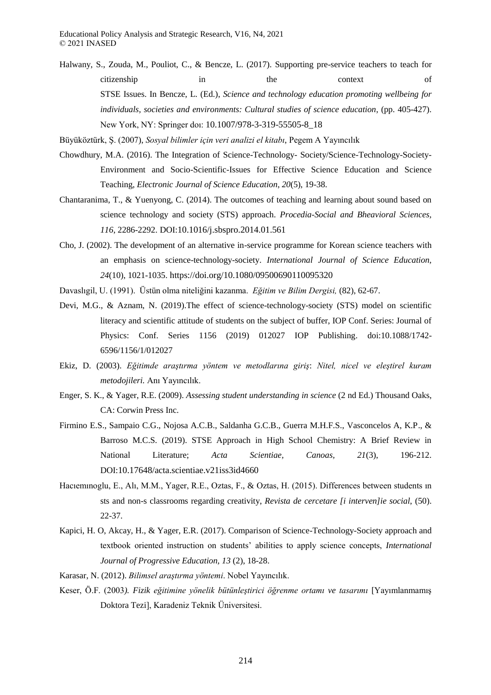Halwany, S., Zouda, M., Pouliot, C., & Bencze, L. (2017). Supporting pre-service teachers to teach for citizenship in the context of STSE Issues. In Bencze, L. (Ed.), *Science and technology education promoting wellbeing for individuals, societies and environments: Cultural studies of science education*, (pp. 405-427). New York, NY: Springer doı: 10.1007/978-3-319-55505-8\_18

Büyüköztürk, Ş. (2007), *Sosyal bilimler için veri analizi el kitabı*, Pegem A Yayıncılık

- Chowdhury, M.A. (2016). The Integration of Science-Technology- Society/Science-Technology-Society-Environment and Socio-Scientific-Issues for Effective Science Education and Science Teaching, *Electronic Journal of Science Education*, *20*(5), 19-38.
- Chantaranima, T., & Yuenyong, C. (2014). The outcomes of teaching and learning about sound based on science technology and society (STS) approach. *Procedia-Social and Bheavioral Sciences, 116*, 2286-2292. DOI:10.1016/j.sbspro.2014.01.561
- Cho, J. (2002). The development of an alternative in-service programme for Korean science teachers with an emphasis on science-technology-society. *International Journal of Science Education, 24*(10), 1021-1035. https://doi.org/10.1080/09500690110095320
- Davaslıgil, U. (1991). Üstün olma niteliğini kazanma. *Eğitim ve Bilim Dergisi,* (82), 62-67.
- Devi, M.G., & Aznam, N. (2019).The effect of science-technology-society (STS) model on scientific literacy and scientific attitude of students on the subject of buffer, IOP Conf. Series: Journal of Physics: Conf. Series 1156 (2019) 012027 IOP Publishing. doi:10.1088/1742- 6596/1156/1/012027
- Ekiz, D. (2003). *Eğitimde araştırma yöntem ve metodlarına giriş*: *Nitel, nicel ve eleştirel kuram metodojileri.* Anı Yayıncılık.
- Enger, S. K., & Yager, R.E. (2009). *Assessing student understanding in science* (2 nd Ed.) Thousand Oaks, CA: Corwin Press Inc.
- Firmino E.S., Sampaio C.G., Nojosa A.C.B., Saldanha G.C.B., Guerra M.H.F.S., Vasconcelos A, K.P., & Barroso M.C.S. (2019). STSE Approach in High School Chemistry: A Brief Review in National Literature; *Acta Scientiae, Canoas, 21*(3), 196-212. DOI:10.17648/acta.scientiae.v21iss3id4660
- Hacıemınoglu, E., Alı, M.M., Yager, R.E., Oztas, F., & Oztas, H. (2015). Differences between students ın sts and non-s classrooms regarding creativity, *Revista de cercetare [i interven]ie social*, (50). 22-37.
- Kapici, H. O, Akcay, H., & Yager, E.R. (2017). Comparison of Science-Technology-Society approach and textbook oriented instruction on students' abilities to apply science concepts, *International Journal of Progressive Education, 13* (2), 18-28.
- Karasar, N. (2012). *Bilimsel araştırma yöntemi*. Nobel Yayıncılık.
- Keser, Ö.F. (2003*). Fizik eğitimine yönelik bütünleştirici öğrenme ortamı ve tasarımı* [Yayımlanmamış Doktora Tezi], Karadeniz Teknik Üniversitesi.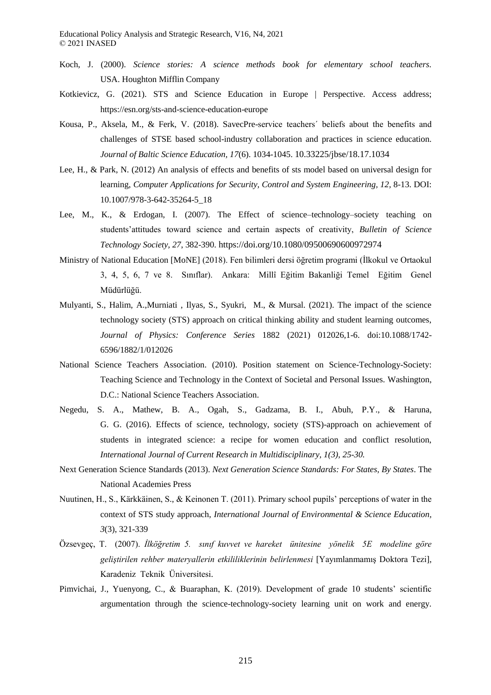- Koch, J. (2000). *Science stories: A science methods book for elementary school teachers.* USA. Houghton Mifflin Company
- Kotkievicz, G. (2021). STS and Science Education in Europe | Perspective. Access address; https://esn.org/sts-and-science-education-europe
- Kousa, P., Aksela, M., & Ferk, V. (2018). SavecPre-service teachers´ beliefs about the benefits and challenges of STSE based school-industry collaboration and practices in science education. *Journal of Baltic Science Education, 17*(6). 1034-1045. 10.33225/jbse/18.17.1034
- Lee, H., & Park, N. (2012) An analysis of effects and benefits of sts model based on universal design for learning, *Computer Applications for Security, Control and System Engineering, 12,* 8-13. DOI: 10.1007/978-3-642-35264-5\_18
- Lee, M., K., & Erdogan, I. (2007). The Effect of science–technology–society teaching on students'attitudes toward science and certain aspects of creativity, *Bulletin of Science Technology Society, 27*, 382-390. https://doi.org/10.1080/09500690600972974
- Ministry of National Education [MoNE] (2018). Fen bilimleri dersi öğretim programi (İlkokul ve Ortaokul 3, 4, 5, 6, 7 ve 8. Sınıflar). Ankara: Millî Eğitim Bakanliği Temel Eğitim Genel Müdürlüğü.
- Mulyanti, S., Halim, A.,Murniati , Ilyas, S., Syukri, M., & Mursal. (2021). The impact of the science technology society (STS) approach on critical thinking ability and student learning outcomes, *Journal of Physics: Conference Series* 1882 (2021) 012026,1-6. doi:10.1088/1742- 6596/1882/1/012026
- National Science Teachers Association. (2010). Position statement on Science-Technology-Society: Teaching Science and Technology in the Context of Societal and Personal Issues. Washington, D.C.: National Science Teachers Association.
- Negedu, S. A., Mathew, B. A., Ogah, S., Gadzama, B. I., Abuh, P.Y., & Haruna, G. G. (2016). Effects of science, technology, society (STS)-approach on achievement of students in integrated science: a recipe for women education and conflict resolution, *International Journal of Current Research in Multidisciplinary, 1(3), 25-30.*
- Next Generation Science Standards (2013). *Next Generation Science Standards: For States, By States*. The National Academies Press
- Nuutinen, H., S., Kärkkäinen, S., & Keinonen T. (2011). Primary school pupils' perceptions of water in the context of STS study approach, *International Journal of Environmental & Science Education, 3*(3), 321-339
- Özsevgeç, T. (2007). *İlköğretim 5. sınıf kuvvet ve hareket ünitesine yönelik 5E modeline göre geliştirilen rehber materyallerin etkililiklerinin belirlenmesi* [Yayımlanmamış Doktora Tezi], Karadeniz Teknik Üniversitesi.
- Pimvichai, J., Yuenyong, C., & Buaraphan, K. (2019). Development of grade 10 students' scientific argumentation through the science-technology-society learning unit on work and energy.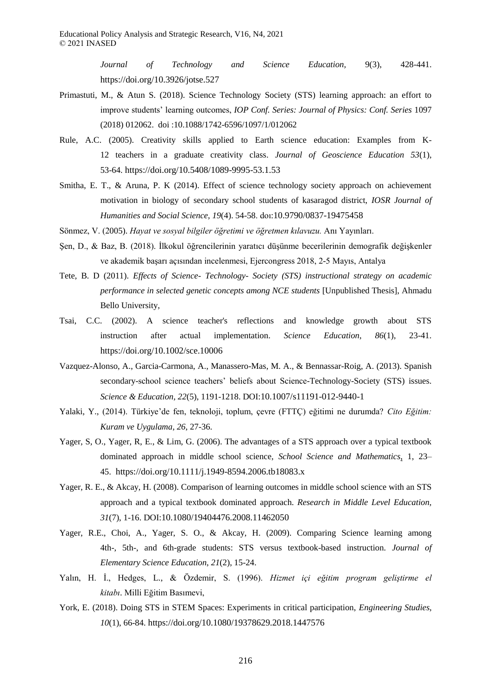*Journal of Technology and Science Education,* 9(3), 428-441. https://doi.org/10.3926/jotse.527

- Primastuti, M., & Atun S. (2018). Science Technology Society (STS) learning approach: an effort to improve students' learning outcomes, *IOP Conf. Series: Journal of Physics: Conf. Series* 1097 (2018) 012062. doi :10.1088/1742-6596/1097/1/012062
- Rule, A.C. (2005). Creativity skills applied to Earth science education: Examples from K-12 teachers in a graduate creativity class. *Journal of Geoscience Education 53*(1), 53-64. https://doi.org/10.5408/1089-9995-53.1.53
- Smitha, E. T., & Aruna, P. K (2014). Effect of science technology society approach on achievement motivation in biology of secondary school students of kasaragod district, *IOSR Journal of Humanities and Social Science, 19*(4). 54-58. doı:10.9790/0837-19475458
- Sönmez, V. (2005). *Hayat ve sosyal bilgiler öğretimi ve öğretmen kılavuzu.* Anı Yayınları.
- Şen, D., & Baz, B. (2018). İlkokul öğrencilerinin yaratıcı düşünme becerilerinin demografik değişkenler ve akademik başarı açısından incelenmesi, Ejercongress 2018, 2-5 Mayıs, Antalya
- Tete, B. D (2011). *Effects of Science- Technology- Society (STS) instructional strategy on academic performance in selected genetic concepts among NCE students* [Unpublished Thesis], Ahmadu Bello University,
- Tsai, C.C. (2002). A science teacher's reflections and knowledge growth about STS instruction after actual implementation. *Science Education*, *86*(1), 23-41. https://doi.org/10.1002/sce.10006
- Vazquez-Alonso, A., Garcia-Carmona, A., Manassero-Mas, M. A., & Bennassar-Roig, A. (2013). Spanish secondary-school science teachers' beliefs about Science-Technology-Society (STS) issues. *Science & Education, 22*(5), 1191-1218. DOI:10.1007/s11191-012-9440-1
- Yalaki, Y., (2014). Türkiye'de fen, teknoloji, toplum, çevre (FTTÇ) eğitimi ne durumda? *Cito Eğitim: Kuram ve Uygulama, 26*, 27-36.
- Yager, S, O., Yager, R, E., & Lim, G. (2006). The advantages of a STS approach over a typical textbook dominated approach in middle school science, *School Science and Mathematics*, 1, 23– 45. https://doi.org/10.1111/j.1949-8594.2006.tb18083.x
- Yager, R. E., & Akcay, H. (2008). Comparison of learning outcomes in middle school science with an STS approach and a typical textbook dominated approach. *Research in Middle Level Education, 31*(7), 1-16. DOI:10.1080/19404476.2008.11462050
- Yager, R.E., Choi, A., Yager, S. O., & Akcay, H. (2009). Comparing Science learning among 4th-, 5th-, and 6th-grade students: STS versus textbook-based instruction. *Journal of Elementary Science Education*, *21*(2), 15-24.
- Yalın, H. İ., Hedges, L., & Özdemir, S. (1996). *Hizmet içi eğitim program geliştirme el kitabı*. Milli Eğitim Basımevi,
- York, E. (2018). Doing STS in STEM Spaces: Experiments in critical participation, *Engineering Studies, 10*(1), 66-84. https://doi.org/10.1080/19378629.2018.1447576